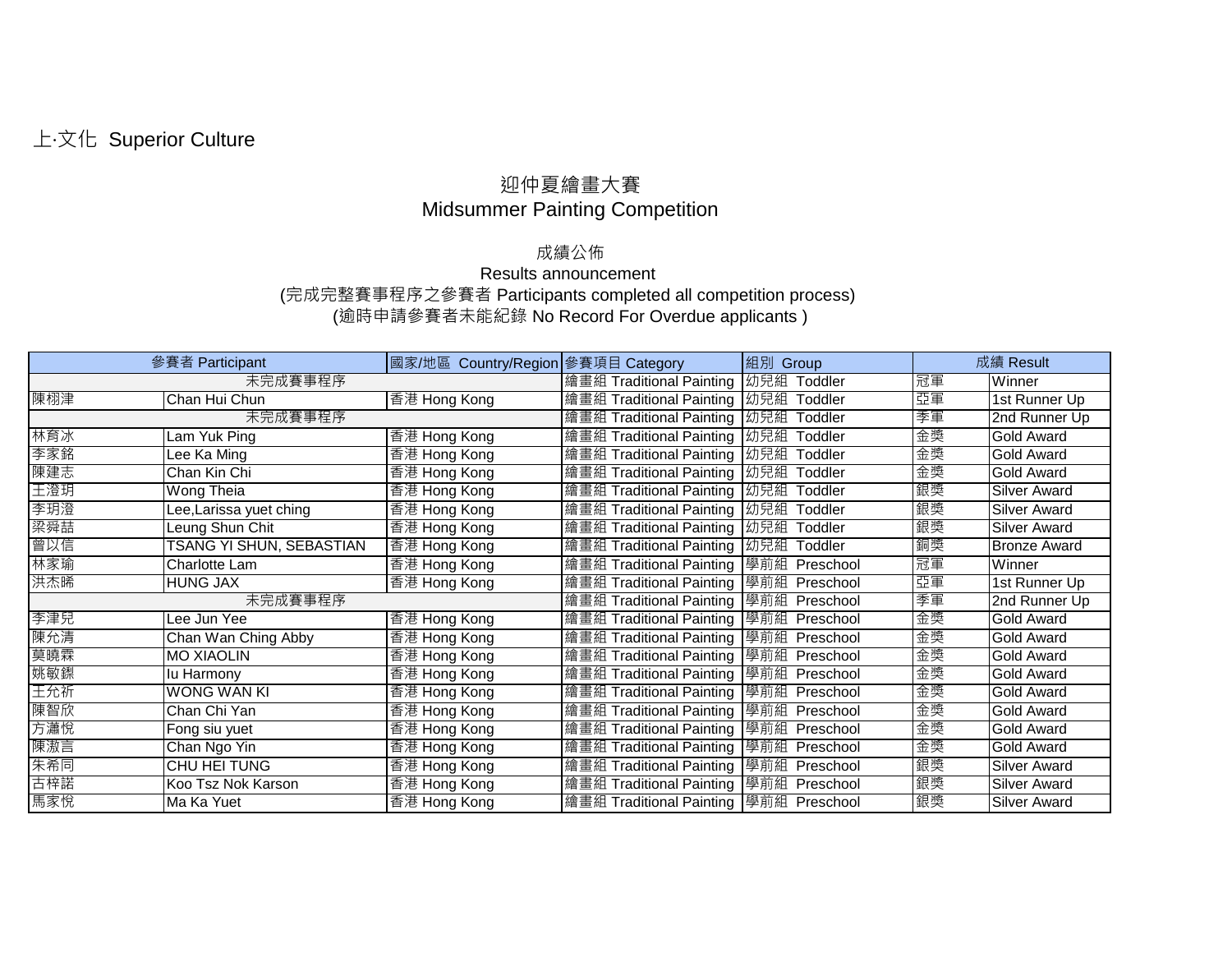## 迎仲夏繪畫大賽 Midsummer Painting Competition

## 成績公佈

## Results announcement (完成完整賽事程序之參賽者 Participants completed all competition process) (逾時申請參賽者未能紀錄 No Record For Overdue applicants )

| 參賽者 Participant |                          | 國家/地區 Country/Region 參賽項目 Category |                                   | 組別<br>Group       | 成績 Result |                     |
|-----------------|--------------------------|------------------------------------|-----------------------------------|-------------------|-----------|---------------------|
| 未完成賽事程序         |                          |                                    | 繪畫組 Traditional Painting          | 幼兒組<br>Toddler    | 冠軍        | Winner              |
| 陳栩津             | Chan Hui Chun            | 香港 Hong Kong                       | 繪畫組 Traditional Painting   幼兒組    | Гoddler           | 亞軍        | 1st Runner Up       |
|                 | 未完成賽事程序                  |                                    | 繪畫組 Traditional Painting          | Ⅰ幼兒組<br>Toddler   | 季軍        | 2nd Runner Up       |
| 林育冰             | Lam Yuk Ping             | 香港 Hong Kong                       | 繪畫組 Traditional Painting          | Ⅰ幼兒組<br>Гoddler   | 金獎        | <b>Gold Award</b>   |
| 李家銘             | ee Ka Ming               | 香港 Hong Kong                       | Traditional Painting   幼兒組<br>繪畫組 | Гoddler           | 金獎        | Gold Award          |
| 陳建志             | Chan Kin Chi             | 香港 Hong Kong                       | 繪畫組 Traditional Painting  幼兒組     | Гoddler           | 金獎        | <b>Gold Award</b>   |
| 王澄玥             | Wong Theia               | 香港 Hong Kong                       | 繪畫組 Traditional Painting   幼兒組    | Toddler           | 銀獎        | <b>Silver Award</b> |
| 李玥澄             | ee,Larissa yuet ching    | 香港 Hong Kong                       | 繪畫組 Traditional Painting   幼兒組    | Toddler           | 銀獎        | <b>Silver Award</b> |
| 梁舜喆             | Leung Shun Chit          | 香港 Hong Kong                       | 繪畫組 Traditional Painting   幼兒組    | Toddler           | 銀獎        | <b>Silver Award</b> |
| 曾以信             | TSANG YI SHUN, SEBASTIAN | 香港 Hong Kong                       | 繪畫組 Traditional Painting  幼兒組     | Toddler           | 銅獎        | <b>Bronze Award</b> |
| 林家瑜             | Charlotte Lam            | 香港 Hong Kong                       | 繪畫組 Traditional Painting 學前組      | Preschool         | 冠軍        | Winner              |
| 洪杰晞             | <b>HUNG JAX</b>          | 香港 Hong Kong                       | 繪畫組 Traditional Painting          | 「學前組<br>Preschool | 亞重        | 1st Runner Up       |
|                 | 未完成賽事程序                  |                                    | 繪畫組 Traditional Painting 學前組      | Preschool         | 季軍        | 2nd Runner Up       |
| 李津兒             | Lee Jun Yee              | 香港 Hong Kong                       | 繪畫組 Traditional Painting 學前組      | Preschool         | 金獎        | <b>Gold Award</b>   |
| 陳允清             | Chan Wan Ching Abby      | 香港 Hong Kong                       | 繪畫組 Traditional Painting 學前組      | Preschool         | 金獎        | <b>Gold Award</b>   |
| 莫曉霖             | <b>MO XIAOLIN</b>        | 香港 Hong Kong                       | 繪畫組 Traditional Painting          | Ⅰ學前組<br>Preschool | 金獎        | <b>Gold Award</b>   |
| 姚敏鏫             | lu Harmony               | 香港 Hong Kong                       | 繪畫組 Traditional Painting 學前組      | Preschool         | 金獎        | <b>Gold Award</b>   |
| 王允祈             | <b>WONG WAN KI</b>       | 香港 Hong Kong                       | 繪畫組 Traditional Painting          | 「學前組<br>Preschool | 金獎        | <b>Gold Award</b>   |
| 陳智欣             | Chan Chi Yan             | 香港 Hong Kong                       | Traditional Painting 學前組<br>繪畫組   | Preschool         | 金獎        | Gold Award          |
| 方瀟悅             | Fong siu yuet            | 香港 Hong Kong                       | 繪畫組 Traditional Painting          | Ⅰ學前組<br>Preschool | 金獎        | <b>Gold Award</b>   |
| 陳滶言             | Chan Ngo Yin             | 香港 Hong Kong                       | 繪畫組 Traditional Painting 學前組      | Preschool         | 金獎        | <b>Gold Award</b>   |
| 朱希同             | <b>CHU HEI TUNG</b>      | 香港 Hong Kong                       | 繪畫組 Traditional Painting          | 「學前組<br>Preschool | 銀獎        | <b>Silver Award</b> |
| 古梓諾             | Koo Tsz Nok Karson       | 香港 Hong Kong                       | 繪畫組 Traditional Painting 學前組      | Preschool         | 銀獎        | Silver Award        |
| 馬家悅             | Ma Ka Yuet               | 香港 Hong Kong                       | 繪畫組 Traditional Painting 學前組      | Preschool         | 銀獎        | Silver Award        |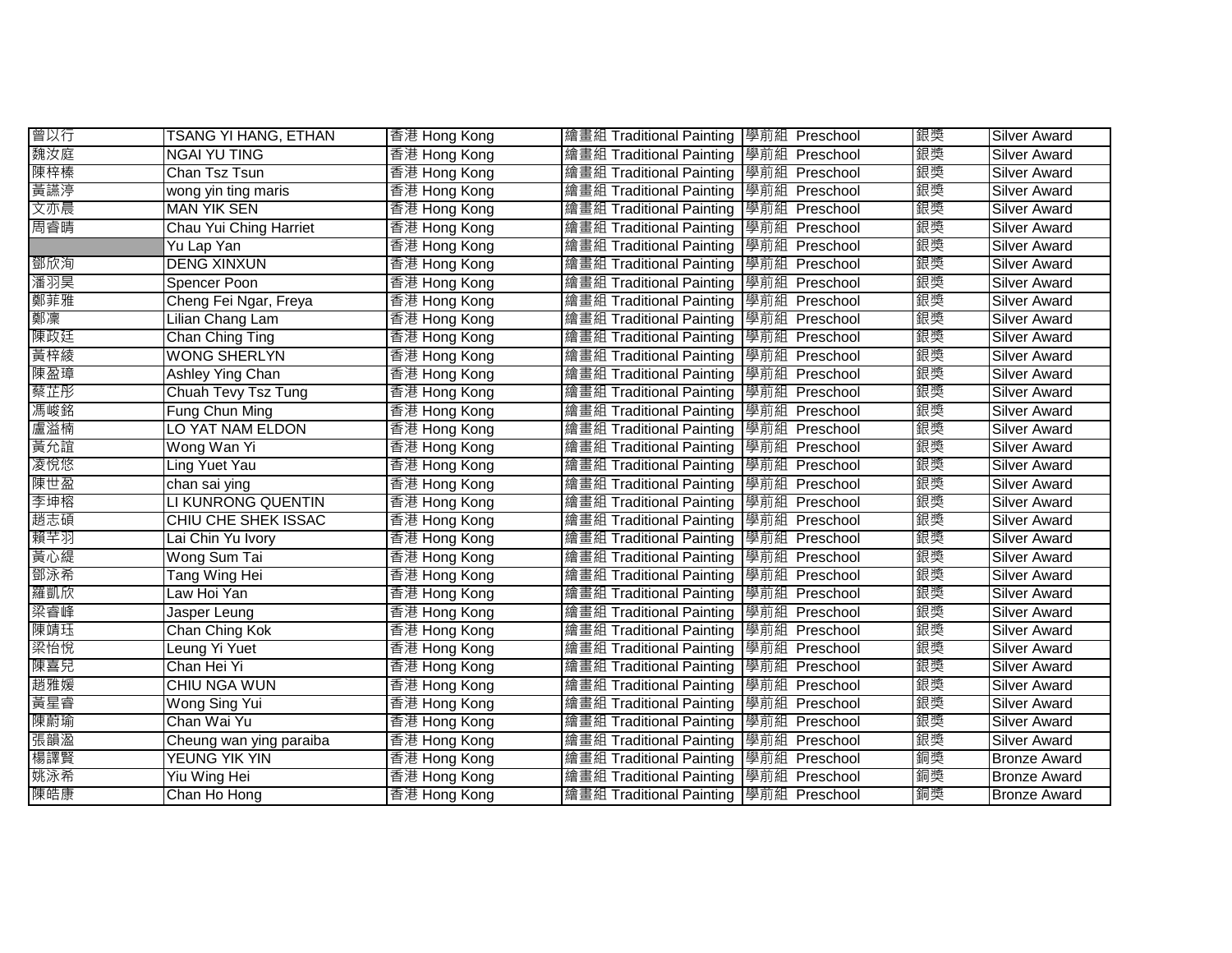| 曾以行 | TSANG YI HANG, ETHAN       | 香港 Hong Kong | 繪畫組 Traditional Painting 學前組 Preschool |               | 銀獎 | <b>Silver Award</b> |
|-----|----------------------------|--------------|----------------------------------------|---------------|----|---------------------|
| 魏汝庭 | <b>NGAI YU TING</b>        | 香港 Hong Kong | 繪畫組 Traditional Painting 學前組 Preschool |               | 銀獎 | <b>Silver Award</b> |
| 陳梓榛 | Chan Tsz Tsun              | 香港 Hong Kong | 繪畫組 Traditional Painting 學前組 Preschool |               | 銀獎 | <b>Silver Award</b> |
| 黃讌渟 | wong yin ting maris        | 香港 Hong Kong | 繪畫組 Traditional Painting 學前組 Preschool |               | 銀獎 | Silver Award        |
| 文亦晨 | <b>MAN YIK SEN</b>         | 香港 Hong Kong | 繪畫組 Traditional Painting 學前組 Preschool |               | 銀獎 | Silver Award        |
| 周睿晴 | Chau Yui Ching Harriet     | 香港 Hong Kong | 繪畫組 Traditional Painting 學前組 Preschool |               | 銀獎 | <b>Silver Award</b> |
|     | Yu Lap Yan                 | 香港 Hong Kong | 繪畫組 Traditional Painting 學前組 Preschool |               | 銀獎 | Silver Award        |
| 鄧欣洵 | <b>DENG XINXUN</b>         | 香港 Hong Kong | 繪畫組 Traditional Painting 學前組 Preschool |               | 銀獎 | Silver Award        |
| 潘羽昊 | Spencer Poon               | 香港 Hong Kong | 繪畫組 Traditional Painting               | 學前組 Preschool | 銀獎 | Silver Award        |
| 鄭菲雅 | Cheng Fei Ngar, Freya      | 香港 Hong Kong | 繪畫組 Traditional Painting 學前組 Preschool |               | 銀獎 | Silver Award        |
| 鄭凜  | Lilian Chang Lam           | 香港 Hong Kong | 繪畫組 Traditional Painting 學前組 Preschool |               | 銀獎 | Silver Award        |
| 陳政廷 | Chan Ching Ting            | 香港 Hong Kong | 繪畫組 Traditional Painting               | 學前組 Preschool | 銀獎 | Silver Award        |
| 黃梓綾 | <b>WONG SHERLYN</b>        | 香港 Hong Kong | 繪畫組 Traditional Painting               | 學前組 Preschool | 銀獎 | Silver Award        |
| 陳盈璋 | Ashley Ying Chan           | 香港 Hong Kong | 繪畫組 Traditional Painting               | 學前組 Preschool | 銀獎 | Silver Award        |
| 蔡芷彤 | Chuah Tevy Tsz Tung        | 香港 Hong Kong | 繪畫組 Traditional Painting               | 學前組 Preschool | 銀獎 | Silver Award        |
| 馮峻銘 | Fung Chun Ming             | 香港 Hong Kong | 繪畫組 Traditional Painting               | 學前組 Preschool | 銀獎 | Silver Award        |
| 盧溢楠 | LO YAT NAM ELDON           | 香港 Hong Kong | 繪畫組 Traditional Painting               | 學前組 Preschool | 銀獎 | Silver Award        |
| 黃允誼 | Wong Wan Yi                | 香港 Hong Kong | 繪畫組 Traditional Painting               | 學前組 Preschool | 銀獎 | <b>Silver Award</b> |
| 凌悅悠 | Ling Yuet Yau              | 香港 Hong Kong | 繪畫組 Traditional Painting               | 學前組 Preschool | 銀獎 | Silver Award        |
| 陳世盈 | chan sai ying              | 香港 Hong Kong | 繪畫組 Traditional Painting               | 學前組 Preschool | 銀獎 | <b>Silver Award</b> |
| 李坤榕 | LI KUNRONG QUENTIN         | 香港 Hong Kong | 繪畫組 Traditional Painting               | 學前組 Preschool | 銀獎 | <b>Silver Award</b> |
| 趙志碩 | <b>CHIU CHE SHEK ISSAC</b> | 香港 Hong Kong | 繪畫組 Traditional Painting 學前組 Preschool |               | 銀獎 | Silver Award        |
| 賴芊羽 | Lai Chin Yu Ivory          | 香港 Hong Kong | 繪畫組 Traditional Painting 學前組 Preschool |               | 銀獎 | Silver Award        |
| 黃心緹 | Wong Sum Tai               | 香港 Hong Kong | 繪畫組 Traditional Painting 學前組 Preschool |               | 銀獎 | <b>Silver Award</b> |
| 鄧泳希 | Tang Wing Hei              | 香港 Hong Kong | 繪畫組 Traditional Painting 學前組 Preschool |               | 銀獎 | Silver Award        |
| 羅凱欣 | Law Hoi Yan                | 香港 Hong Kong | 繪畫組 Traditional Painting 學前組 Preschool |               | 銀獎 | <b>Silver Award</b> |
| 梁睿峰 | Jasper Leung               | 香港 Hong Kong | 繪畫組 Traditional Painting 學前組 Preschool |               | 銀獎 | <b>Silver Award</b> |
| 陳靖珏 | Chan Ching Kok             | 香港 Hong Kong | 繪畫組 Traditional Painting 學前組 Preschool |               | 銀獎 | Silver Award        |
| 梁怡悅 | Leung Yi Yuet              | 香港 Hong Kong | 繪畫組 Traditional Painting 學前組 Preschool |               | 銀獎 | <b>Silver Award</b> |
| 陳喜兒 | Chan Hei Yi                | 香港 Hong Kong | 繪畫組 Traditional Painting 學前組           | Preschool     | 銀獎 | <b>Silver Award</b> |
| 趙雅媛 | <b>CHIU NGA WUN</b>        | 香港 Hong Kong | 繪畫組 Traditional Painting 學前組 Preschool |               | 銀獎 | <b>Silver Award</b> |
| 黃星睿 | <b>Wong Sing Yui</b>       | 香港 Hong Kong | 繪畫組 Traditional Painting 學前組 Preschool |               | 銀獎 | Silver Award        |
| 陳蔚瑜 | Chan Wai Yu                | 香港 Hong Kong | 繪畫組 Traditional Painting 學前組 Preschool |               | 銀獎 | Silver Award        |
| 張韻溋 | Cheung wan ying paraiba    | 香港 Hong Kong | 繪畫組 Traditional Painting 學前組 Preschool |               | 銀獎 | Silver Award        |
| 楊譯賢 | YEUNG YIK YIN              | 香港 Hong Kong | 繪畫組 Traditional Painting 學前組 Preschool |               | 銅獎 | <b>Bronze Award</b> |
| 姚泳希 | <b>Yiu Wing Hei</b>        | 香港 Hong Kong | 繪畫組 Traditional Painting               | 學前組 Preschool | 銅獎 | <b>Bronze Award</b> |
| 陳皓康 | Chan Ho Hong               | 香港 Hong Kong | 繪畫組 Traditional Painting 學前組 Preschool |               | 銅獎 | <b>Bronze Award</b> |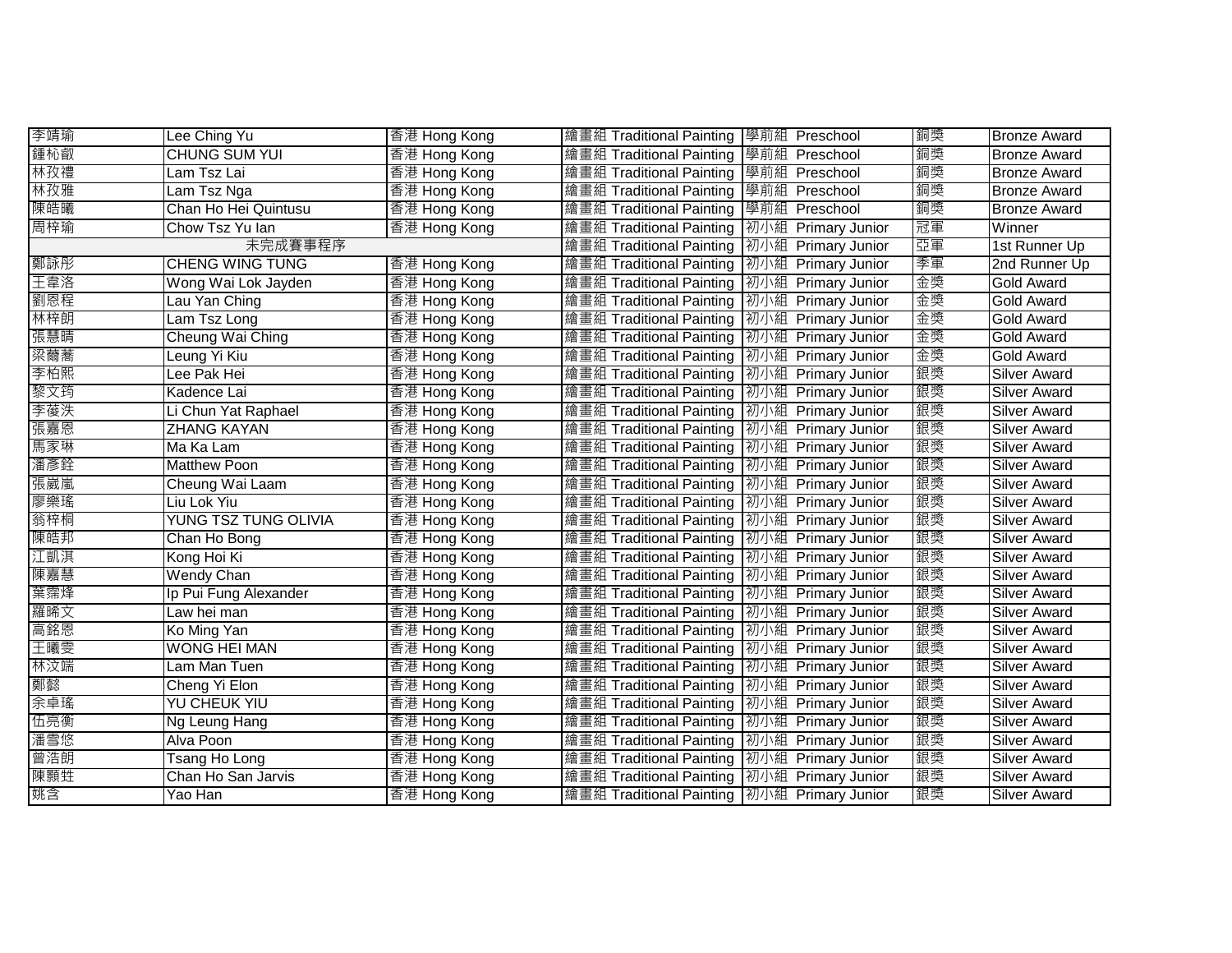| 李靖瑜 | Lee Ching Yu                | 香港 Hong Kong | 繪畫組 Traditional Painting 學前組 Preschool        |                    | 銅獎 | <b>Bronze Award</b> |
|-----|-----------------------------|--------------|-----------------------------------------------|--------------------|----|---------------------|
| 鍾杺叡 | <b>CHUNG SUM YUI</b>        | 香港 Hong Kong | 繪畫組 Traditional Painting 學前組 Preschool        |                    | 銅獎 | <b>Bronze Award</b> |
| 林孜禮 | Lam Tsz Lai                 | 香港 Hong Kong | 繪畫組 Traditional Painting                      | 學前組 Preschool      | 銅獎 | <b>Bronze Award</b> |
| 林孜雅 | Lam Tsz Nga                 | 香港 Hong Kong | 繪畫組 Traditional Painting                      | 學前組 Preschool      | 銅獎 | <b>Bronze Award</b> |
| 陳皓曦 | Chan Ho Hei Quintusu        | 香港 Hong Kong | 繪畫組 Traditional Painting                      | 學前組 Preschool      | 銅獎 | <b>Bronze Award</b> |
| 周梓瑜 | Chow Tsz Yu lan             | 香港 Hong Kong | 繪畫組 Traditional Painting                      | 初小組 Primary Junior | 冠軍 | Winner              |
|     | 未完成賽事程序                     |              | 繪畫組 Traditional Painting                      | 初小組 Primary Junior | 亞軍 | 1st Runner Up       |
| 鄭詠彤 | <b>CHENG WING TUNG</b>      | 香港 Hong Kong | 繪畫組 Traditional Painting                      | 初小組 Primary Junior | 季軍 | 2nd Runner Up       |
| 王韋洛 | Wong Wai Lok Jayden         | 香港 Hong Kong | 繪畫組 Traditional Painting                      | 初小組 Primary Junior | 金獎 | <b>Gold Award</b>   |
| 劉恩程 | Lau Yan Ching               | 香港 Hong Kong | 繪畫組 Traditional Painting                      | 初小組 Primary Junior | 金獎 | <b>Gold Award</b>   |
| 林梓朗 | Lam Tsz Long                | 香港 Hong Kong | 繪畫組 Traditional Painting                      | 初小組 Primary Junior | 金獎 | <b>Gold Award</b>   |
| 張慧晴 | Cheung Wai Ching            | 香港 Hong Kong | 繪畫組 Traditional Painting                      | 初小組 Primary Junior | 金獎 | Gold Award          |
| 梁薾蕎 | Leung Yi Kiu                | 香港 Hong Kong | 繪畫組 Traditional Painting                      | 初小組 Primary Junior | 金獎 | <b>Gold Award</b>   |
| 李柏熙 | Lee Pak Hei                 | 香港 Hong Kong | 繪畫組 Traditional Painting                      | 初小組 Primary Junior | 銀獎 | <b>Silver Award</b> |
| 黎文筠 | Kadence Lai                 | 香港 Hong Kong | 繪畫組 Traditional Painting                      | 初小組 Primary Junior | 銀獎 | <b>Silver Award</b> |
| 李葰泆 | Li Chun Yat Raphael         | 香港 Hong Kong | 繪畫組 Traditional Painting                      | 初小組 Primary Junior | 銀獎 | <b>Silver Award</b> |
| 張嘉恩 | <b>ZHANG KAYAN</b>          | 香港 Hong Kong | 繪畫組 Traditional Painting                      | 初小組 Primary Junior | 銀獎 | <b>Silver Award</b> |
| 馬家琳 | Ma Ka Lam                   | 香港 Hong Kong | 繪畫組 Traditional Painting                      | 初小組 Primary Junior | 銀獎 | <b>Silver Award</b> |
| 潘彥銓 | <b>Matthew Poon</b>         | 香港 Hong Kong | 繪畫組 Traditional Painting                      | 初小組 Primary Junior | 銀獎 | <b>Silver Award</b> |
| 張崴嵐 | Cheung Wai Laam             | 香港 Hong Kong | 繪畫組 Traditional Painting                      | 初小組 Primary Junior | 銀獎 | <b>Silver Award</b> |
| 廖樂瑤 | Liu Lok Yiu                 | 香港 Hong Kong | 繪畫組 Traditional Painting                      | 初小組 Primary Junior | 銀獎 | Silver Award        |
| 翁梓桐 | <b>YUNG TSZ TUNG OLIVIA</b> | 香港 Hong Kong | 繪畫組 Traditional Painting   初小組 Primary Junior |                    | 銀獎 | <b>Silver Award</b> |
| 陳皓邦 | Chan Ho Bong                | 香港 Hong Kong | 繪畫組 Traditional Painting   初小組 Primary Junior |                    | 銀獎 | <b>Silver Award</b> |
| 江凱淇 | Kong Hoi Ki                 | 香港 Hong Kong | 繪畫組 Traditional Painting  初小組 Primary Junior  |                    | 銀獎 | <b>Silver Award</b> |
| 陳嘉慧 | <b>Wendy Chan</b>           | 香港 Hong Kong | 繪畫組 Traditional Painting   初小組 Primary Junior |                    | 銀獎 | <b>Silver Award</b> |
| 葉霈烽 | Ip Pui Fung Alexander       | 香港 Hong Kong | 繪畫組 Traditional Painting   初小組 Primary Junior |                    | 銀獎 | <b>Silver Award</b> |
| 羅晞文 | Law hei man                 | 香港 Hong Kong | 繪畫組 Traditional Painting                      | 初小組 Primary Junior | 銀獎 | <b>Silver Award</b> |
| 高銘恩 | Ko Ming Yan                 | 香港 Hong Kong | 繪畫組 Traditional Painting                      | 初小組 Primary Junior | 銀獎 | <b>Silver Award</b> |
| 王曦雯 | <b>WONG HEI MAN</b>         | 香港 Hong Kong | 繪畫組 Traditional Painting                      | 初小組 Primary Junior | 銀獎 | <b>Silver Award</b> |
| 林汶端 | Lam Man Tuen                | 香港 Hong Kong | 繪畫組 Traditional Painting                      | 初小組 Primary Junior | 銀獎 | <b>Silver Award</b> |
| 鄭懿  | Cheng Yi Elon               | 香港 Hong Kong | 繪畫組 Traditional Painting                      | 初小組 Primary Junior | 銀獎 | <b>Silver Award</b> |
| 余卓瑤 | <b>YU CHEUK YIU</b>         | 香港 Hong Kong | 繪畫組 Traditional Painting                      | 初小組 Primary Junior | 銀獎 | Silver Award        |
| 伍亮衡 | Ng Leung Hang               | 香港 Hong Kong | 繪畫組 Traditional Painting                      | 初小組 Primary Junior | 銀獎 | Silver Award        |
| 潘雪悠 | Alva Poon                   | 香港 Hong Kong | 繪畫組 Traditional Painting                      | 初小組 Primary Junior | 銀獎 | Silver Award        |
| 曾浩朗 | Tsang Ho Long               | 香港 Hong Kong | 繪畫組 Traditional Painting                      | 初小組 Primary Junior | 銀獎 | Silver Award        |
| 陳顥甡 | Chan Ho San Jarvis          | 香港 Hong Kong | 繪畫組 Traditional Painting                      | 初小組 Primary Junior | 銀獎 | <b>Silver Award</b> |
| 姚含  | Yao Han                     | 香港 Hong Kong | 繪畫組 Traditional Painting   初小組 Primary Junior |                    | 銀獎 | <b>Silver Award</b> |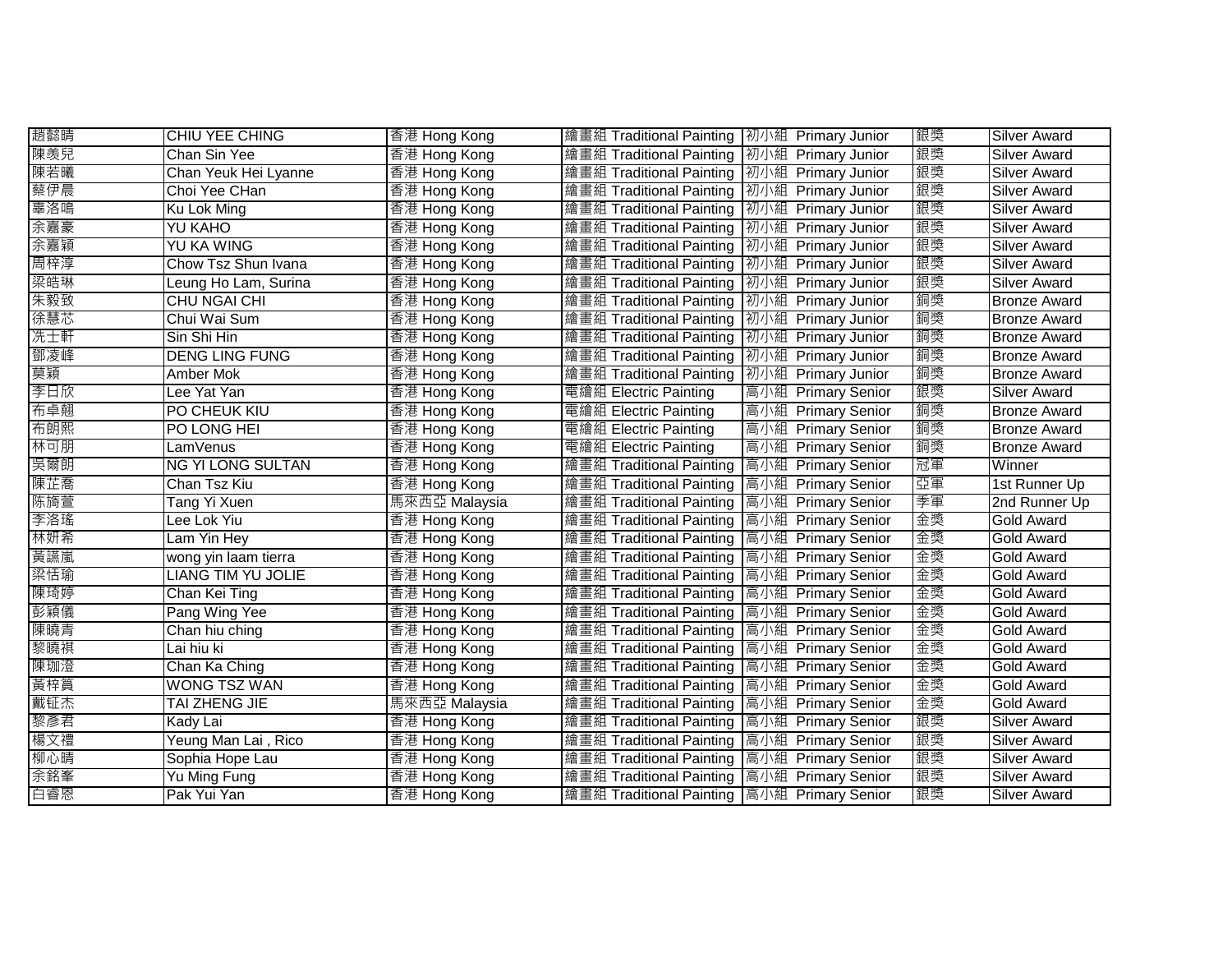| 趙懿晴 | <b>CHIU YEE CHING</b>     | 香港 Hong Kong  | 繪畫組 Traditional Painting   初小組 Primary Junior |                    | 銀獎 | <b>Silver Award</b> |
|-----|---------------------------|---------------|-----------------------------------------------|--------------------|----|---------------------|
| 陳羡兒 | Chan Sin Yee              | 香港 Hong Kong  | 繪畫組 Traditional Painting   初小組 Primary Junior |                    | 銀獎 | <b>Silver Award</b> |
| 陳若曦 | Chan Yeuk Hei Lyanne      | 香港 Hong Kong  | 繪畫組 Traditional Painting   初小組 Primary Junior |                    | 銀獎 | <b>Silver Award</b> |
| 蔡伊晨 | Choi Yee CHan             | 香港 Hong Kong  | 繪畫組 Traditional Painting   初小組 Primary Junior |                    | 銀獎 | <b>Silver Award</b> |
| 辜洛鳴 | Ku Lok Ming               | 香港 Hong Kong  | 繪畫組 Traditional Painting   初小組 Primary Junior |                    | 銀獎 | <b>Silver Award</b> |
| 余嘉豪 | YU KAHO                   | 香港 Hong Kong  | 繪畫組 Traditional Painting   初小組 Primary Junior |                    | 銀獎 | <b>Silver Award</b> |
| 余嘉穎 | YU KA WING                | 香港 Hong Kong  | 繪畫組 Traditional Painting   初小組 Primary Junior |                    | 銀獎 | Silver Award        |
| 周梓淳 | Chow Tsz Shun Ivana       | 香港 Hong Kong  | 繪畫組 Traditional Painting   初小組 Primary Junior |                    | 銀獎 | Silver Award        |
| 梁皓琳 | Leung Ho Lam, Surina      | 香港 Hong Kong  | 繪畫組 Traditional Painting                      | 初小組 Primary Junior | 銀獎 | <b>Silver Award</b> |
| 朱毅致 | <b>CHU NGAI CHI</b>       | 香港 Hong Kong  | 繪畫組 Traditional Painting                      | 初小組 Primary Junior | 銅獎 | <b>Bronze Award</b> |
| 徐慧芯 | Chui Wai Sum              | 香港 Hong Kong  | 繪畫組 Traditional Painting                      | 初小組 Primary Junior | 銅獎 | <b>Bronze Award</b> |
| 冼士軒 | Sin Shi Hin               | 香港 Hong Kong  | 繪畫組 Traditional Painting                      | 初小組 Primary Junior | 銅獎 | <b>Bronze Award</b> |
| 鄧凌峰 | <b>DENG LING FUNG</b>     | 香港 Hong Kong  | 繪畫組 Traditional Painting                      | 初小組 Primary Junior | 銅獎 | <b>Bronze Award</b> |
| 莫穎  | Amber Mok                 | 香港 Hong Kong  | 繪畫組 Traditional Painting                      | 初小組 Primary Junior | 銅獎 | <b>Bronze Award</b> |
| 李日欣 | Lee Yat Yan               | 香港 Hong Kong  | 電繪組 Electric Painting                         | 高小組 Primary Senior | 銀獎 | <b>Silver Award</b> |
| 布卓翹 | PO CHEUK KIU              | 香港 Hong Kong  | 電繪組 Electric Painting                         | 高小組 Primary Senior | 銅獎 | <b>Bronze Award</b> |
| 布朗熙 | PO LONG HEI               | 香港 Hong Kong  | 電繪組 Electric Painting                         | 高小組 Primary Senior | 銅獎 | <b>Bronze Award</b> |
| 林可朋 | LamVenus                  | 香港 Hong Kong  | 電繪組 Electric Painting                         | 高小組 Primary Senior | 銅獎 | <b>Bronze Award</b> |
| 吳爾朗 | <b>NG YI LONG SULTAN</b>  | 香港 Hong Kong  | 繪畫組 Traditional Painting                      | 高小組 Primary Senior | 冠軍 | Winner              |
| 陳芷喬 | Chan Tsz Kiu              | 香港 Hong Kong  | 繪畫組 Traditional Painting                      | 高小組 Primary Senior | 亞軍 | 1st Runner Up       |
| 陈旖萱 | Tang Yi Xuen              | 馬來西亞 Malaysia | 繪畫組 Traditional Painting                      | 高小組 Primary Senior | 季軍 | 2nd Runner Up       |
| 李洛瑤 | Lee Lok Yiu               | 香港 Hong Kong  | 繪畫組 Traditional Painting                      | 高小組 Primary Senior | 金獎 | <b>Gold Award</b>   |
| 林妍希 | Lam Yin Hey               | 香港 Hong Kong  | 繪畫組 Traditional Painting                      | 高小組 Primary Senior | 金獎 | <b>Gold Award</b>   |
| 黃讌嵐 | wong yin laam tierra      | 香港 Hong Kong  | 繪畫組 Traditional Painting                      | 高小組 Primary Senior | 金獎 | <b>Gold Award</b>   |
| 梁恬瑜 | <b>LIANG TIM YU JOLIE</b> | 香港 Hong Kong  | 繪畫組 Traditional Painting 高小組 Primary Senior   |                    | 金獎 | <b>Gold Award</b>   |
| 陳琦婷 | Chan Kei Ting             | 香港 Hong Kong  | 繪畫組 Traditional Painting 高小組 Primary Senior   |                    | 金獎 | <b>Gold Award</b>   |
| 彭穎儀 | Pang Wing Yee             | 香港 Hong Kong  | 繪畫組 Traditional Painting 高小組 Primary Senior   |                    | 金獎 | <b>Gold Award</b>   |
| 陳曉青 | Chan hiu ching            | 香港 Hong Kong  | 繪畫組 Traditional Painting                      | 高小組 Primary Senior | 金獎 | <b>Gold Award</b>   |
| 黎曉祺 | Lai hiu ki                | 香港 Hong Kong  | 繪畫組 Traditional Painting                      | 高小組 Primary Senior | 金獎 | <b>Gold Award</b>   |
| 陳珈澄 | Chan Ka Ching             | 香港 Hong Kong  | 繪畫組 Traditional Painting                      | 高小組 Primary Senior | 金獎 | <b>Gold Award</b>   |
| 黃梓篔 | <b>WONG TSZ WAN</b>       | 香港 Hong Kong  | 繪畫組 Traditional Painting                      | 高小組 Primary Senior | 金獎 | <b>Gold Award</b>   |
| 戴钲杰 | TAI ZHENG JIE             | 馬來西亞 Malaysia | 繪畫組 Traditional Painting                      | 高小組 Primary Senior | 金獎 | <b>Gold Award</b>   |
| 黎彥君 | Kady Lai                  | 香港 Hong Kong  | 繪畫組 Traditional Painting                      | 高小組 Primary Senior | 銀獎 | <b>Silver Award</b> |
| 楊文禮 | Yeung Man Lai, Rico       | 香港 Hong Kong  | 繪畫組 Traditional Painting                      | 高小組 Primary Senior | 銀獎 | Silver Award        |
| 柳心晴 | Sophia Hope Lau           | 香港 Hong Kong  | 繪畫組 Traditional Painting                      | 高小組 Primary Senior | 銀獎 | Silver Award        |
| 余銘峯 | Yu Ming Fung              | 香港 Hong Kong  | 繪畫組 Traditional Painting 高小組 Primary Senior   |                    | 銀獎 | Silver Award        |
| 白睿恩 | Pak Yui Yan               | 香港 Hong Kong  | 繪畫組 Traditional Painting 高小組 Primary Senior   |                    | 銀獎 | <b>Silver Award</b> |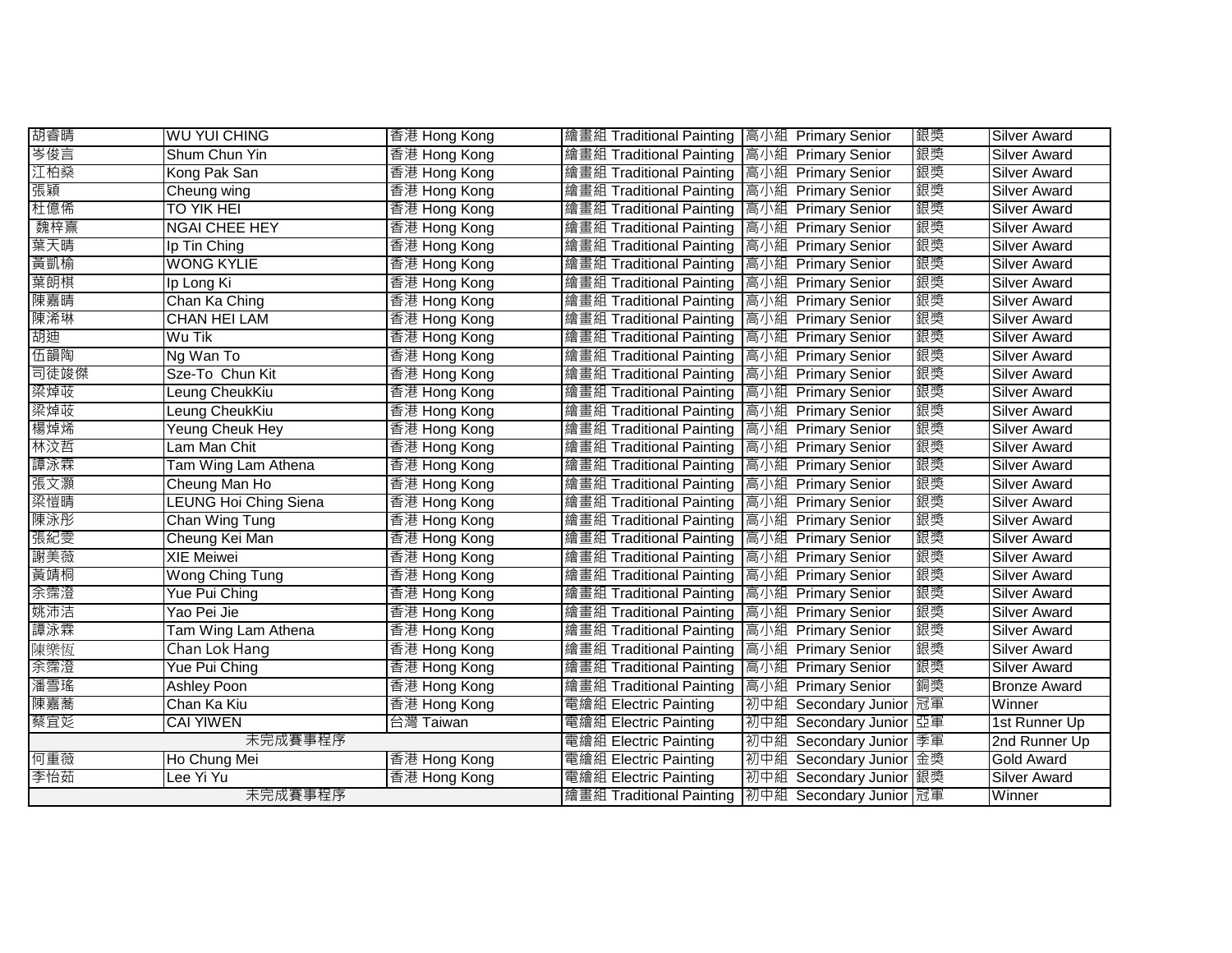| 胡睿晴     | <b>WU YUI CHING</b>          | 香港 Hong Kong | 繪畫組 Traditional Painting   高小組 Primary Senior        |                         | 銀獎 | <b>Silver Award</b> |
|---------|------------------------------|--------------|------------------------------------------------------|-------------------------|----|---------------------|
| 岑俊言     | Shum Chun Yin                | 香港 Hong Kong | 繪畫組 Traditional Painting 高小組 Primary Senior          |                         | 銀獎 | <b>Silver Award</b> |
| 江柏燊     | Kong Pak San                 | 香港 Hong Kong | 繪畫組 Traditional Painting 高小組 Primary Senior          |                         | 銀獎 | <b>Silver Award</b> |
| 張穎      | Cheung wing                  | 香港 Hong Kong | 繪畫組 Traditional Painting 高小組 Primary Senior          |                         | 銀獎 | <b>Silver Award</b> |
| 杜億俙     | <b>TO YIK HEI</b>            | 香港 Hong Kong | 繪畫組 Traditional Painting 高小組 Primary Senior          |                         | 銀獎 | <b>Silver Award</b> |
| 魏梓熹     | <b>NGAI CHEE HEY</b>         | 香港 Hong Kong | 繪畫組 Traditional Painting 高小組 Primary Senior          |                         | 銀獎 | <b>Silver Award</b> |
| 葉天晴     | Ip Tin Ching                 | 香港 Hong Kong | 繪畫組 Traditional Painting 高小組 Primary Senior          |                         | 銀獎 | Silver Award        |
| 黃凱榆     | <b>WONG KYLIE</b>            | 香港 Hong Kong | 繪畫組 Traditional Painting 高小組 Primary Senior          |                         | 銀獎 | Silver Award        |
| 葉朗棋     | Ip Long Ki                   | 香港 Hong Kong | 繪畫組 Traditional Painting 高小組 Primary Senior          |                         | 銀獎 | <b>Silver Award</b> |
| 陳嘉晴     | Chan Ka Ching                | 香港 Hong Kong | 繪畫組 Traditional Painting 高小組 Primary Senior          |                         | 銀獎 | <b>Silver Award</b> |
| 陳浠琳     | <b>CHAN HEI LAM</b>          | 香港 Hong Kong | 繪畫組 Traditional Painting                             | 高小組 Primary Senior      | 銀獎 | Silver Award        |
| 胡迪      | Wu Tik                       | 香港 Hong Kong | 繪畫組 Traditional Painting                             | 高小組 Primary Senior      | 銀獎 | Silver Award        |
| 伍韻陶     | Ng Wan To                    | 香港 Hong Kong | 繪畫組 Traditional Painting                             | 高小組 Primary Senior      | 銀獎 | Silver Award        |
| 司徒竣傑    | Sze-To Chun Kit              | 香港 Hong Kong | 繪畫組 Traditional Painting                             | 高小組 Primary Senior      | 銀獎 | <b>Silver Award</b> |
| 梁焯荍     | Leung CheukKiu               | 香港 Hong Kong | 繪畫組 Traditional Painting                             | 高小組 Primary Senior      | 銀獎 | Silver Award        |
| 梁焯荍     | Leung CheukKiu               | 香港 Hong Kong | 繪畫組 Traditional Painting                             | 高小組 Primary Senior      | 銀獎 | Silver Award        |
| 楊焯烯     | <b>Yeung Cheuk Hey</b>       | 香港 Hong Kong | 繪畫組 Traditional Painting                             | 高小組 Primary Senior      | 銀獎 | <b>Silver Award</b> |
| 林汶哲     | Lam Man Chit                 | 香港 Hong Kong | 繪畫組 Traditional Painting                             | 高小組 Primary Senior      | 銀獎 | Silver Award        |
| 譚泳霖     | Tam Wing Lam Athena          | 香港 Hong Kong | 繪畫組 Traditional Painting                             | 高小組 Primary Senior      | 銀獎 | <b>Silver Award</b> |
| 張文灝     | Cheung Man Ho                | 香港 Hong Kong | 繪畫組 Traditional Painting                             | 高小組 Primary Senior      | 銀獎 | <b>Silver Award</b> |
| 梁愷晴     | <b>LEUNG Hoi Ching Siena</b> | 香港 Hong Kong | 繪畫組 Traditional Painting                             | 高小組 Primary Senior      | 銀獎 | <b>Silver Award</b> |
| 陳泳彤     | Chan Wing Tung               | 香港 Hong Kong | 繪畫組 Traditional Painting                             | 高小組 Primary Senior      | 銀獎 | <b>Silver Award</b> |
| 張紀雯     | Cheung Kei Man               | 香港 Hong Kong | 繪畫組 Traditional Painting 高小組 Primary Senior          |                         | 銀獎 | <b>Silver Award</b> |
| 謝美薇     | <b>XIE Meiwei</b>            | 香港 Hong Kong | 繪畫組 Traditional Painting 高小組 Primary Senior          |                         | 銀獎 | <b>Silver Award</b> |
| 黃靖桐     | Wong Ching Tung              | 香港 Hong Kong | 繪畫組 Traditional Painting 高小組 Primary Senior          |                         | 銀獎 | <b>Silver Award</b> |
| 余霈澄     | Yue Pui Ching                | 香港 Hong Kong | 繪畫組 Traditional Painting 高小組 Primary Senior          |                         | 銀獎 | <b>Silver Award</b> |
| 姚沛洁     | Yao Pei Jie                  | 香港 Hong Kong | 繪畫組 Traditional Painting                             | 高小組 Primary Senior      | 銀獎 | <b>Silver Award</b> |
| 譚泳霖     | Tam Wing Lam Athena          | 香港 Hong Kong | 繪畫組 Traditional Painting                             | 高小組 Primary Senior      | 銀獎 | <b>Silver Award</b> |
| 陳樂恆     | Chan Lok Hang                | 香港 Hong Kong | 繪畫組 Traditional Painting                             | 高小組 Primary Senior      | 銀獎 | <b>Silver Award</b> |
| 余霈澄     | Yue Pui Ching                | 香港 Hong Kong | 繪畫組 Traditional Painting                             | 高小組 Primary Senior      | 銀獎 | <b>Silver Award</b> |
| 潘雪瑤     | <b>Ashley Poon</b>           | 香港 Hong Kong | 繪畫組 Traditional Painting                             | 高小組 Primary Senior      | 銅獎 | <b>Bronze Award</b> |
| 陳嘉蕎     | Chan Ka Kiu                  | 香港 Hong Kong | 電繪組 Electric Painting                                | 初中組 Secondary Junior 冠軍 |    | Winner              |
| 蔡宜彣     | <b>CAI YIWEN</b>             | 台灣 Taiwan    | 電繪組 Electric Painting                                | 初中組 Secondary Junior 亞軍 |    | 1st Runner Up       |
| 未完成賽事程序 |                              |              | 電繪組 Electric Painting                                | 初中組 Secondary Junior 季軍 |    | 2nd Runner Up       |
| 何重薇     | Ho Chung Mei                 | 香港 Hong Kong | 電繪組 Electric Painting                                | 初中組 Secondary Junior 金獎 |    | <b>Gold Award</b>   |
| 李怡茹     | Lee Yi Yu                    | 香港 Hong Kong | 電繪組 Electric Painting                                | 初中組 Secondary Junior 銀獎 |    | Silver Award        |
| 未完成賽事程序 |                              |              | 繪畫組 Traditional Painting   初中組 Secondary Junior   冠軍 |                         |    | Winner              |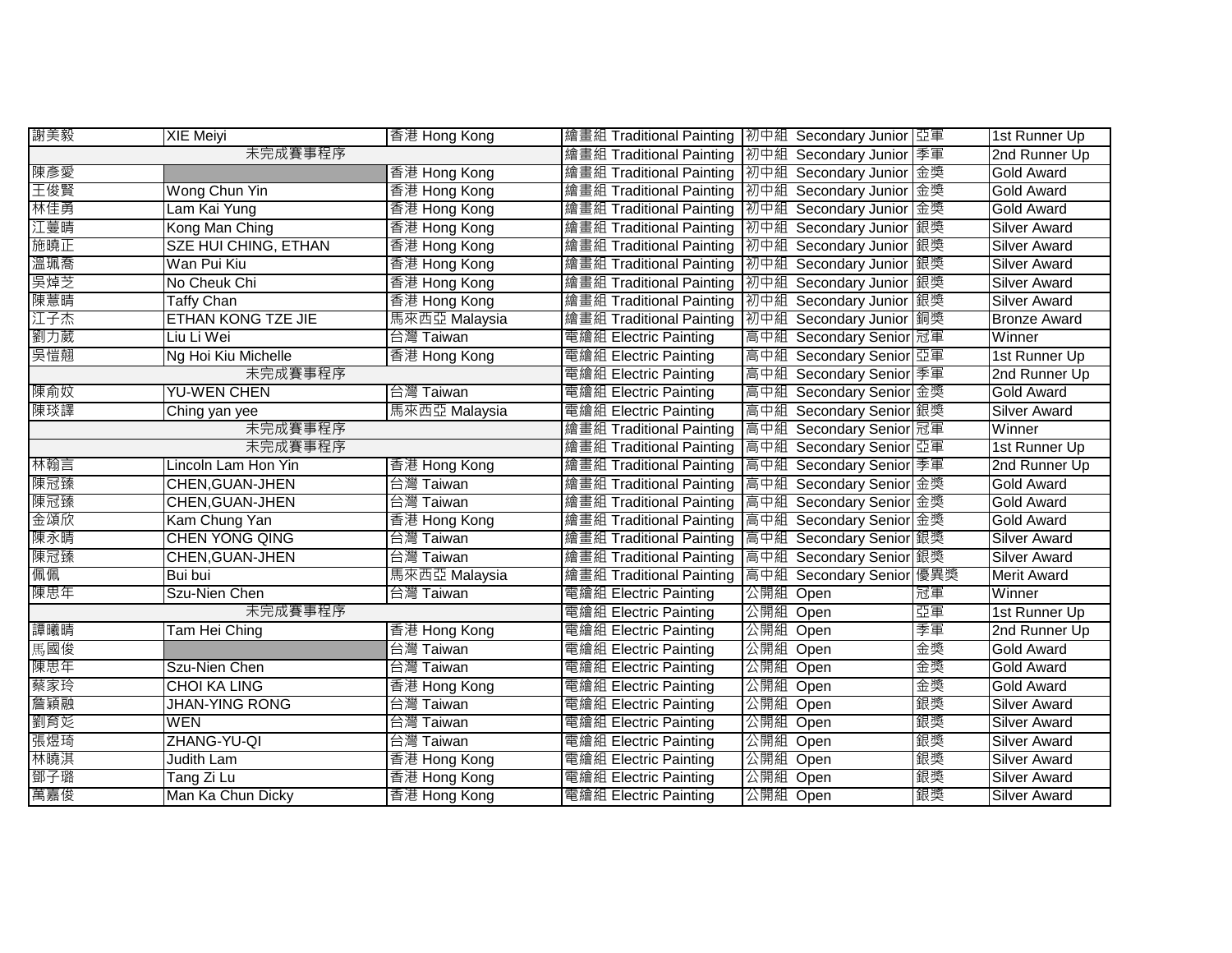| 謝美毅     | <b>XIE Meiyi</b>            | 香港 Hong Kong  | 繪畫組 Traditional Painting   初中組 Secondary Junior   亞軍 |          |                          |    | 1st Runner Up       |
|---------|-----------------------------|---------------|------------------------------------------------------|----------|--------------------------|----|---------------------|
| 未完成賽事程序 |                             |               | 繪畫組 Traditional Painting  初中組 Secondary Junior 季軍    |          |                          |    | 2nd Runner Up       |
| 陳彥愛     |                             | 香港 Hong Kong  | 繪畫組 Traditional Painting   初中組 Secondary Junior 金獎   |          |                          |    | <b>Gold Award</b>   |
| 王俊賢     | Wong Chun Yin               | 香港 Hong Kong  | 繪畫組 Traditional Painting   初中組 Secondary Junior 金獎   |          |                          |    | Gold Award          |
| 林佳勇     | Lam Kai Yung                | 香港 Hong Kong  | 繪畫組 Traditional Painting   初中組 Secondary Junior   金獎 |          |                          |    | <b>Gold Award</b>   |
| 江蔓晴     | Kong Man Ching              | 香港 Hong Kong  | 繪畫組 Traditional Painting   初中組 Secondary Junior   銀獎 |          |                          |    | <b>Silver Award</b> |
| 施曉正     | <b>SZE HUI CHING, ETHAN</b> | 香港 Hong Kong  | 繪畫組 Traditional Painting   初中組 Secondary Junior   銀獎 |          |                          |    | Silver Award        |
| 溫珮喬     | Wan Pui Kiu                 | 香港 Hong Kong  | 繪畫組 Traditional Painting   初中組 Secondary Junior   銀獎 |          |                          |    | <b>Silver Award</b> |
| 吳焯芝     | No Cheuk Chi                | 香港 Hong Kong  | 繪畫組 Traditional Painting   初中組 Secondary Junior 銀獎   |          |                          |    | Silver Award        |
| 陳薏晴     | <b>Taffy Chan</b>           | 香港 Hong Kong  | 繪畫組 Traditional Painting                             |          | 初中組 Secondary Junior  銀獎 |    | Silver Award        |
| 江子杰     | ETHAN KONG TZE JIE          | 馬來西亞 Malaysia | 繪畫組 Traditional Painting   初中組 Secondary Junior   銅獎 |          |                          |    | <b>Bronze Award</b> |
| 劉力葳     | Liu Li Wei                  | 台灣 Taiwan     | 電繪組 Electric Painting                                |          | 高中組 Secondary Senior 冠軍  |    | Winner              |
| 吳愷翹     | Ng Hoi Kiu Michelle         | 香港 Hong Kong  | 電繪組 Electric Painting                                |          | 高中組 Secondary Senior 亞軍  |    | 1st Runner Up       |
|         | 未完成賽事程序                     |               | 電繪組 Electric Painting                                |          | 高中組 Secondary Senior 季軍  |    | 2nd Runner Up       |
| 陳俞妏     | <b>YU-WEN CHEN</b>          | 台灣 Taiwan     | 電繪組 Electric Painting                                |          | 高中組 Secondary Senior 金獎  |    | <b>Gold Award</b>   |
| 陳琰譯     | Ching yan yee               | 馬來西亞 Malaysia | 電繪組 Electric Painting                                |          | 高中組 Secondary Senior 銀獎  |    | <b>Silver Award</b> |
| 未完成賽事程序 |                             |               | 繪畫組 Traditional Painting                             |          | 高中組 Secondary Senior 冠軍  |    | Winner              |
| 未完成賽事程序 |                             |               | 繪畫組 Traditional Painting                             |          | 高中組 Secondary Senior 亞軍  |    | 1st Runner Up       |
| 林翰言     | Lincoln Lam Hon Yin         | 香港 Hong Kong  | 繪畫組 Traditional Painting 高中組 Secondary Senior 季軍     |          |                          |    | 2nd Runner Up       |
| 陳冠臻     | <b>CHEN, GUAN-JHEN</b>      | 台灣 Taiwan     | 繪畫組 Traditional Painting 高中組 Secondary Senior 金獎     |          |                          |    | <b>Gold Award</b>   |
| 陳冠臻     | <b>CHEN, GUAN-JHEN</b>      | 台灣 Taiwan     | 繪畫組 Traditional Painting 高中組 Secondary Senior 金獎     |          |                          |    | <b>Gold Award</b>   |
| 金頌欣     | Kam Chung Yan               | 香港 Hong Kong  | 繪畫組 Traditional Painting 高中組 Secondary Senior 金獎     |          |                          |    | Gold Award          |
| 陳永晴     | <b>CHEN YONG QING</b>       | 台灣 Taiwan     | 繪畫組 Traditional Painting 高中組 Secondary Senior 銀獎     |          |                          |    | <b>Silver Award</b> |
| 陳冠臻     | CHEN, GUAN-JHEN             | 台灣 Taiwan     | 繪畫組 Traditional Painting 高中組 Secondary Senior 銀獎     |          |                          |    | <b>Silver Award</b> |
| 佩佩      | Bui bui                     | 馬來西亞 Malaysia | 繪畫組 Traditional Painting 高中組 Secondary Senior 優異獎    |          |                          |    | <b>Merit Award</b>  |
| 陳思年     | Szu-Nien Chen               | 台灣 Taiwan     | 電繪組 Electric Painting                                | 公開組      | Open                     | 冠軍 | Winner              |
|         | 未完成賽事程序                     |               | 電繪組 Electric Painting                                | 公開組      | Open                     | 亞軍 | 1st Runner Up       |
| 譚曦晴     | Tam Hei Ching               | 香港 Hong Kong  | 電繪組 Electric Painting                                | 公開組      | Open                     | 季軍 | 2nd Runner Up       |
| 馬國俊     |                             | 台灣 Taiwan     | 電繪組 Electric Painting                                | 公開組      | Open                     | 金獎 | Gold Award          |
| 陳思年     | Szu-Nien Chen               | 台灣 Taiwan     | 電繪組 Electric Painting                                | 公開組      | Open                     | 金獎 | <b>Gold Award</b>   |
| 蔡家玲     | <b>CHOI KA LING</b>         | 香港 Hong Kong  | 電繪組 Electric Painting                                | 公開組      | Open                     | 金獎 | Gold Award          |
| 詹穎融     | <b>JHAN-YING RONG</b>       | 台灣 Taiwan     | 電繪組 Electric Painting                                | 公開組      | Open                     | 銀獎 | <b>Silver Award</b> |
| 劉育彣     | <b>WEN</b>                  | 台灣 Taiwan     | 電繪組 Electric Painting                                | 公開組      | Open                     | 銀獎 | Silver Award        |
| 張煜琦     | ZHANG-YU-QI                 | 台灣 Taiwan     | 電繪組 Electric Painting                                | 公開組      | Open                     | 銀獎 | Silver Award        |
| 林曉淇     | Judith Lam                  | 香港 Hong Kong  | 電繪組 Electric Painting                                | 公開組      | Open                     | 銀獎 | <b>Silver Award</b> |
| 鄧子璐     | Tang Zi Lu                  | 香港 Hong Kong  | 電繪組 Electric Painting                                | 公開組      | Open                     | 銀獎 | <b>Silver Award</b> |
| 萬嘉俊     | Man Ka Chun Dicky           | 香港 Hong Kong  | 電繪組 Electric Painting                                | 公開組 Open |                          | 銀獎 | Silver Award        |